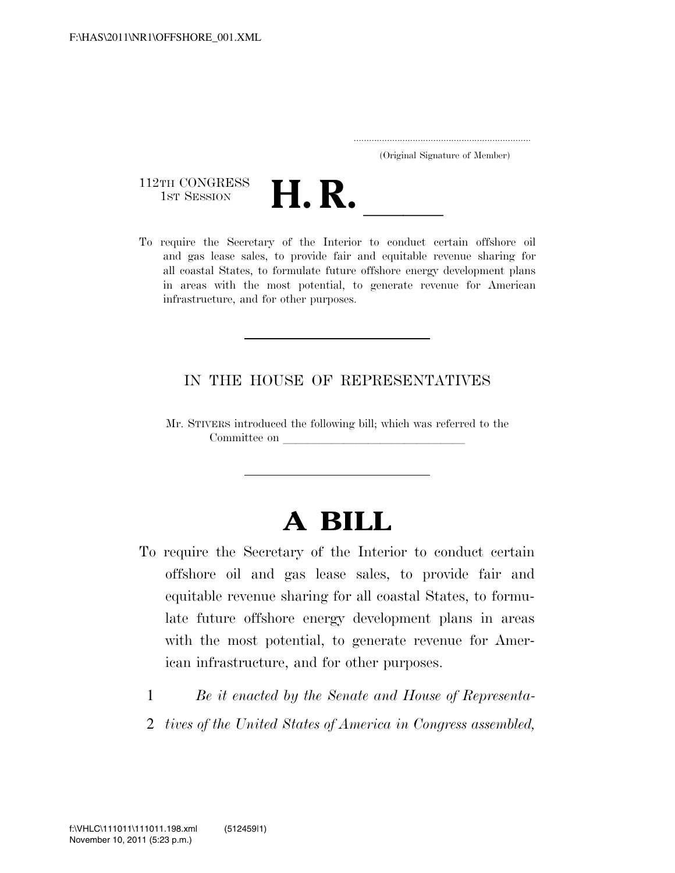..................................................................... (Original Signature of Member)



and gas lease sales, to provide fair and equitable revenue sharing for all coastal States, to formulate future offshore energy development plans in areas with the most potential, to generate revenue for American infrastructure, and for other purposes.

# IN THE HOUSE OF REPRESENTATIVES

Mr. STIVERS introduced the following bill; which was referred to the Committee on

# **A BILL**

- To require the Secretary of the Interior to conduct certain offshore oil and gas lease sales, to provide fair and equitable revenue sharing for all coastal States, to formulate future offshore energy development plans in areas with the most potential, to generate revenue for American infrastructure, and for other purposes.
	- 1 *Be it enacted by the Senate and House of Representa-*
	- 2 *tives of the United States of America in Congress assembled,*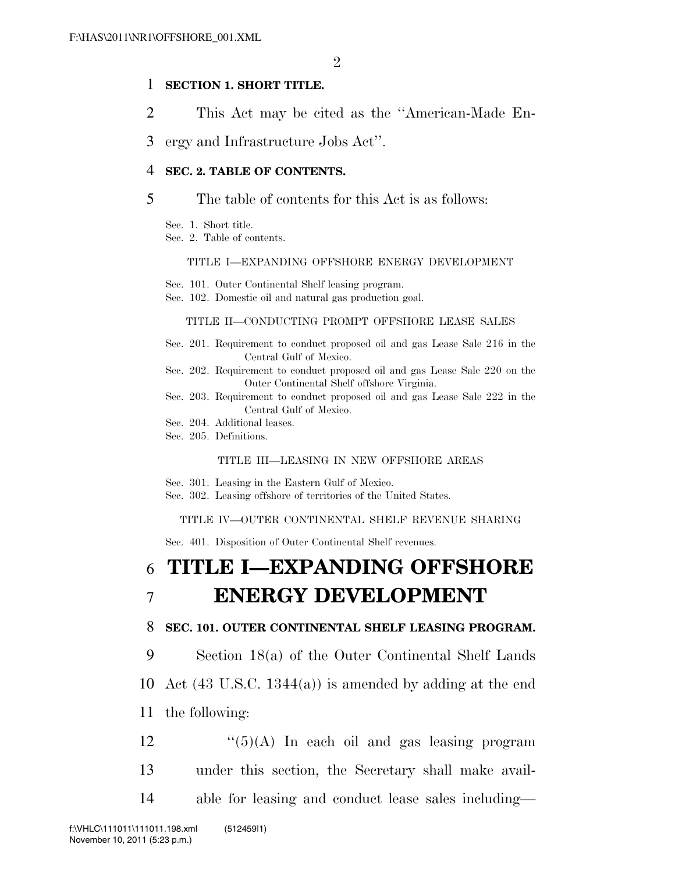## 1 **SECTION 1. SHORT TITLE.**

- 2 This Act may be cited as the ''American-Made En-
- 3 ergy and Infrastructure Jobs Act''.

### 4 **SEC. 2. TABLE OF CONTENTS.**

### 5 The table of contents for this Act is as follows:

Sec. 1. Short title.

Sec. 2. Table of contents.

### TITLE I—EXPANDING OFFSHORE ENERGY DEVELOPMENT

Sec. 101. Outer Continental Shelf leasing program.

Sec. 102. Domestic oil and natural gas production goal.

### TITLE II—CONDUCTING PROMPT OFFSHORE LEASE SALES

- Sec. 201. Requirement to conduct proposed oil and gas Lease Sale 216 in the Central Gulf of Mexico.
- Sec. 202. Requirement to conduct proposed oil and gas Lease Sale 220 on the Outer Continental Shelf offshore Virginia.
- Sec. 203. Requirement to conduct proposed oil and gas Lease Sale 222 in the Central Gulf of Mexico.
- Sec. 204. Additional leases.
- Sec. 205. Definitions.

### TITLE III—LEASING IN NEW OFFSHORE AREAS

- Sec. 301. Leasing in the Eastern Gulf of Mexico.
- Sec. 302. Leasing offshore of territories of the United States.

### TITLE IV—OUTER CONTINENTAL SHELF REVENUE SHARING

Sec. 401. Disposition of Outer Continental Shelf revenues.

# 6 **TITLE I—EXPANDING OFFSHORE**  7 **ENERGY DEVELOPMENT**

### 8 **SEC. 101. OUTER CONTINENTAL SHELF LEASING PROGRAM.**

9 Section 18(a) of the Outer Continental Shelf Lands

10 Act (43 U.S.C. 1344(a)) is amended by adding at the end

- 11 the following:
- $\frac{12}{2}$  ''(5)(A) In each oil and gas leasing program 13 under this section, the Secretary shall make avail-
- 14 able for leasing and conduct lease sales including—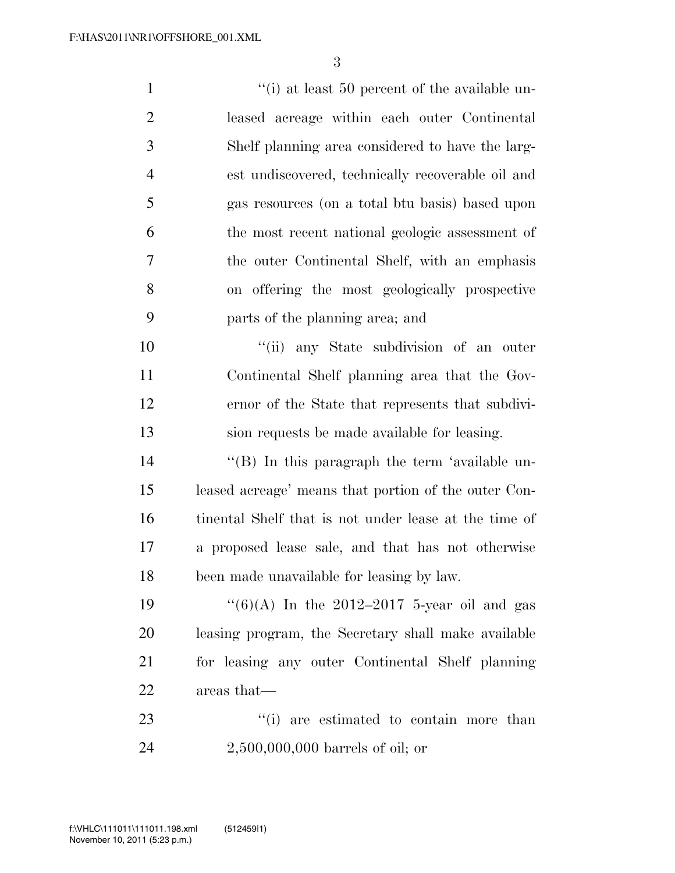$\frac{1}{1}$  (i) at least 50 percent of the available un- leased acreage within each outer Continental Shelf planning area considered to have the larg- est undiscovered, technically recoverable oil and gas resources (on a total btu basis) based upon the most recent national geologic assessment of the outer Continental Shelf, with an emphasis on offering the most geologically prospective parts of the planning area; and  $"$ (ii) any State subdivision of an outer Continental Shelf planning area that the Gov- ernor of the State that represents that subdivi- sion requests be made available for leasing. 14 ''(B) In this paragraph the term 'available un- leased acreage' means that portion of the outer Con- tinental Shelf that is not under lease at the time of a proposed lease sale, and that has not otherwise been made unavailable for leasing by law.  $\frac{1}{6}(6)(A)$  In the 2012–2017 5-year oil and gas leasing program, the Secretary shall make available for leasing any outer Continental Shelf planning areas that—  $\frac{1}{1}$  are estimated to contain more than

2,500,000,000 barrels of oil; or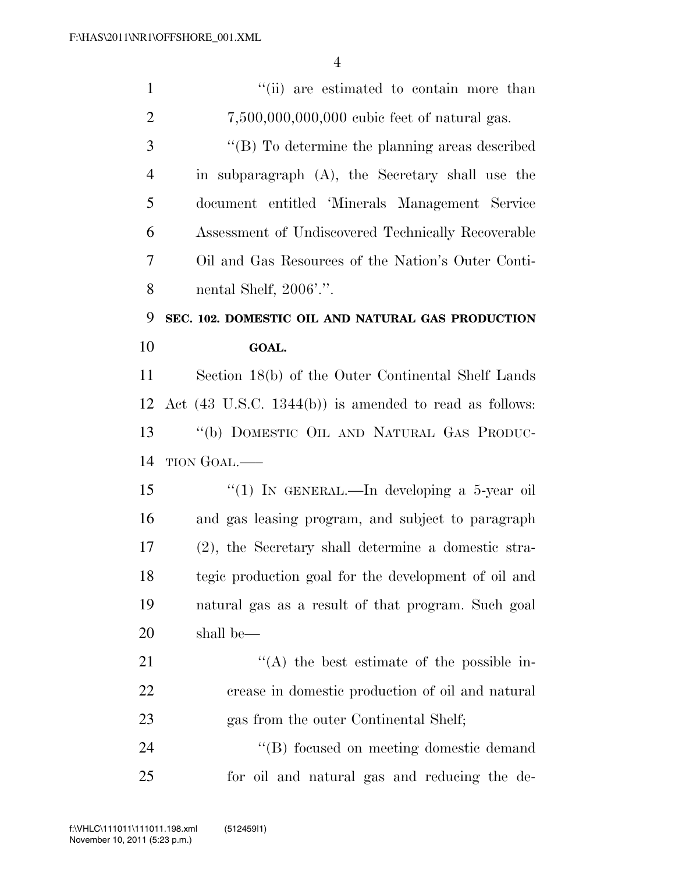| $\mathbf{1}$   | "(ii) are estimated to contain more than                          |
|----------------|-------------------------------------------------------------------|
| $\overline{2}$ | 7,500,000,000,000 cubic feet of natural gas.                      |
| 3              | $\lq\lq$ (B) To determine the planning areas described            |
| $\overline{4}$ | in subparagraph (A), the Secretary shall use the                  |
| 5              | document entitled 'Minerals Management Service                    |
| 6              | Assessment of Undiscovered Technically Recoverable                |
| 7              | Oil and Gas Resources of the Nation's Outer Conti-                |
| 8              | nental Shelf, 2006'.".                                            |
| 9              | SEC. 102. DOMESTIC OIL AND NATURAL GAS PRODUCTION                 |
| 10             | GOAL.                                                             |
| 11             | Section 18(b) of the Outer Continental Shelf Lands                |
| 12             | Act $(43 \text{ U.S.C. } 1344(b))$ is amended to read as follows: |
| 13             | "(b) DOMESTIC OIL AND NATURAL GAS PRODUC-                         |
| 14             | TION GOAL.—                                                       |
| 15             | "(1) IN GENERAL.—In developing a 5-year oil                       |
| 16             | and gas leasing program, and subject to paragraph                 |
| 17             | (2), the Secretary shall determine a domestic stra-               |
| 18             | tegic production goal for the development of oil and              |
| 19             | natural gas as a result of that program. Such goal                |
| 20             | shall be—                                                         |
| 21             | $\lq\lq$ the best estimate of the possible in-                    |
| 22             | crease in domestic production of oil and natural                  |
| 23             | gas from the outer Continental Shelf;                             |
| 24             |                                                                   |
|                | "(B) focused on meeting domestic demand                           |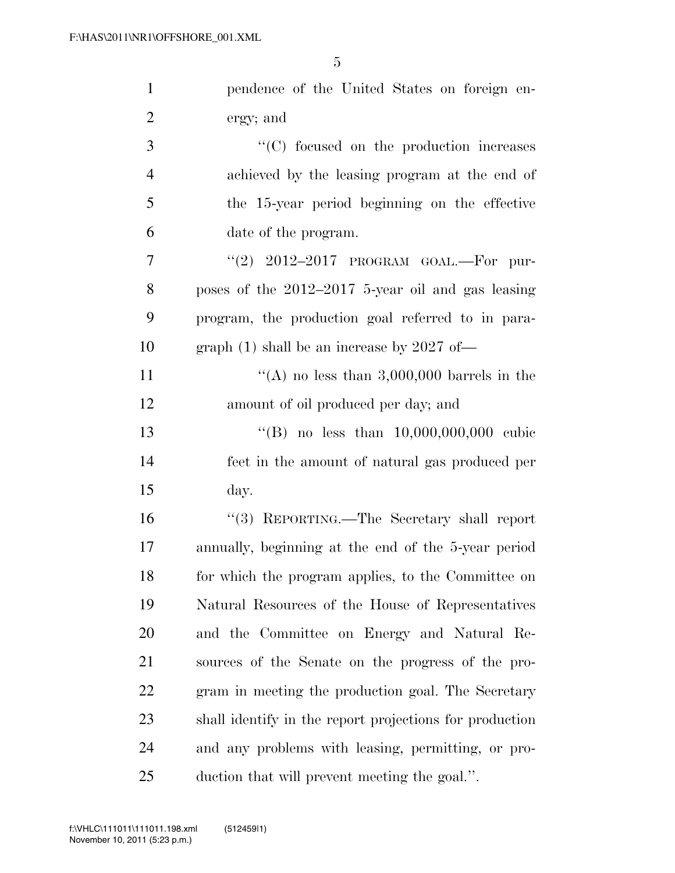| $\mathbf{1}$   | pendence of the United States on foreign en-            |
|----------------|---------------------------------------------------------|
| $\overline{2}$ | ergy; and                                               |
| 3              | $\cdot$ (C) focused on the production increases         |
| $\overline{4}$ | achieved by the leasing program at the end of           |
| 5              | the 15-year period beginning on the effective           |
| 6              | date of the program.                                    |
| 7              | "(2) $2012-2017$ PROGRAM GOAL.—For pur-                 |
| 8              | poses of the $2012-2017$ 5-year oil and gas leasing     |
| 9              | program, the production goal referred to in para-       |
| 10             | graph $(1)$ shall be an increase by 2027 of-            |
| 11             | "(A) no less than $3,000,000$ barrels in the            |
| 12             | amount of oil produced per day; and                     |
| 13             | "(B) no less than $10,000,000,000$ cubic                |
| 14             | feet in the amount of natural gas produced per          |
| 15             | day.                                                    |
| 16             | "(3) REPORTING.—The Secretary shall report              |
| 17             | annually, beginning at the end of the 5-year period     |
| 18             | for which the program applies, to the Committee on      |
| 19             | Natural Resources of the House of Representatives       |
| 20             | and the Committee on Energy and Natural Re-             |
| 21             | sources of the Senate on the progress of the pro-       |
| 22             | gram in meeting the production goal. The Secretary      |
| 23             | shall identify in the report projections for production |
| 24             | and any problems with leasing, permitting, or pro-      |
| 25             | duction that will prevent meeting the goal.".           |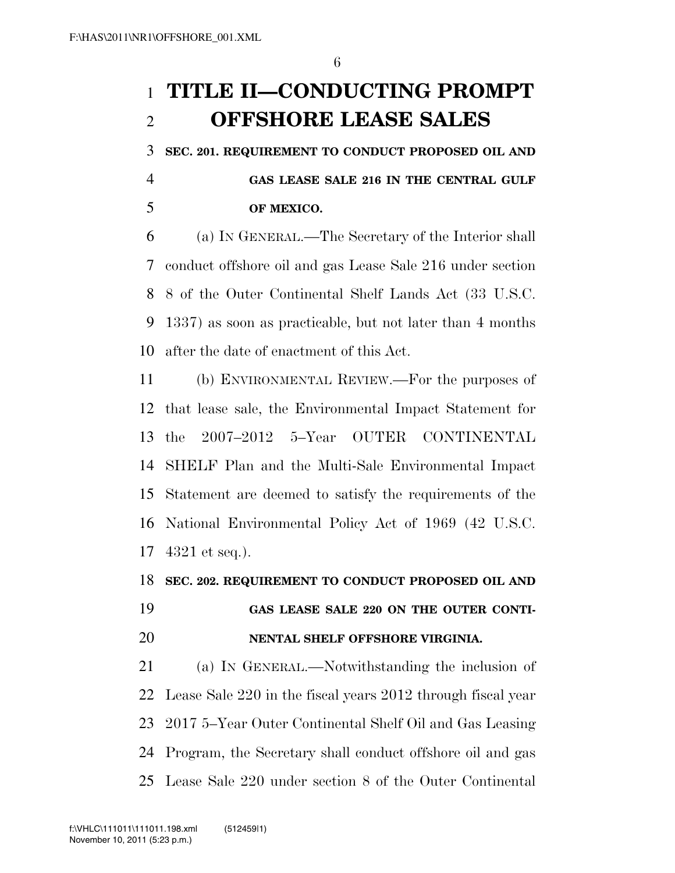# **TITLE II—CONDUCTING PROMPT OFFSHORE LEASE SALES**

**SEC. 201. REQUIREMENT TO CONDUCT PROPOSED OIL AND** 

 **GAS LEASE SALE 216 IN THE CENTRAL GULF OF MEXICO.** 

 (a) IN GENERAL.—The Secretary of the Interior shall conduct offshore oil and gas Lease Sale 216 under section 8 of the Outer Continental Shelf Lands Act (33 U.S.C. 1337) as soon as practicable, but not later than 4 months after the date of enactment of this Act.

 (b) ENVIRONMENTAL REVIEW.—For the purposes of that lease sale, the Environmental Impact Statement for the 2007–2012 5–Year OUTER CONTINENTAL SHELF Plan and the Multi-Sale Environmental Impact Statement are deemed to satisfy the requirements of the National Environmental Policy Act of 1969 (42 U.S.C. 4321 et seq.).

# **SEC. 202. REQUIREMENT TO CONDUCT PROPOSED OIL AND**

# **GAS LEASE SALE 220 ON THE OUTER CONTI-NENTAL SHELF OFFSHORE VIRGINIA.**

 (a) IN GENERAL.—Notwithstanding the inclusion of Lease Sale 220 in the fiscal years 2012 through fiscal year 2017 5–Year Outer Continental Shelf Oil and Gas Leasing Program, the Secretary shall conduct offshore oil and gas Lease Sale 220 under section 8 of the Outer Continental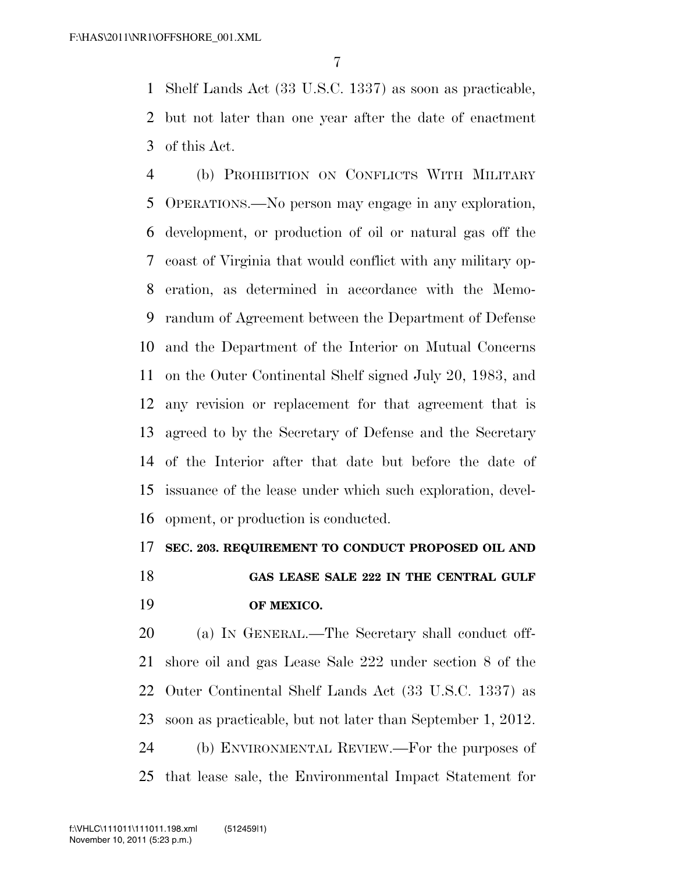Shelf Lands Act (33 U.S.C. 1337) as soon as practicable, but not later than one year after the date of enactment of this Act.

 (b) PROHIBITION ON CONFLICTS WITH MILITARY OPERATIONS.—No person may engage in any exploration, development, or production of oil or natural gas off the coast of Virginia that would conflict with any military op- eration, as determined in accordance with the Memo- randum of Agreement between the Department of Defense and the Department of the Interior on Mutual Concerns on the Outer Continental Shelf signed July 20, 1983, and any revision or replacement for that agreement that is agreed to by the Secretary of Defense and the Secretary of the Interior after that date but before the date of issuance of the lease under which such exploration, devel-opment, or production is conducted.

## **SEC. 203. REQUIREMENT TO CONDUCT PROPOSED OIL AND**

 **GAS LEASE SALE 222 IN THE CENTRAL GULF OF MEXICO.** 

 (a) IN GENERAL.—The Secretary shall conduct off- shore oil and gas Lease Sale 222 under section 8 of the Outer Continental Shelf Lands Act (33 U.S.C. 1337) as soon as practicable, but not later than September 1, 2012. (b) ENVIRONMENTAL REVIEW.—For the purposes of that lease sale, the Environmental Impact Statement for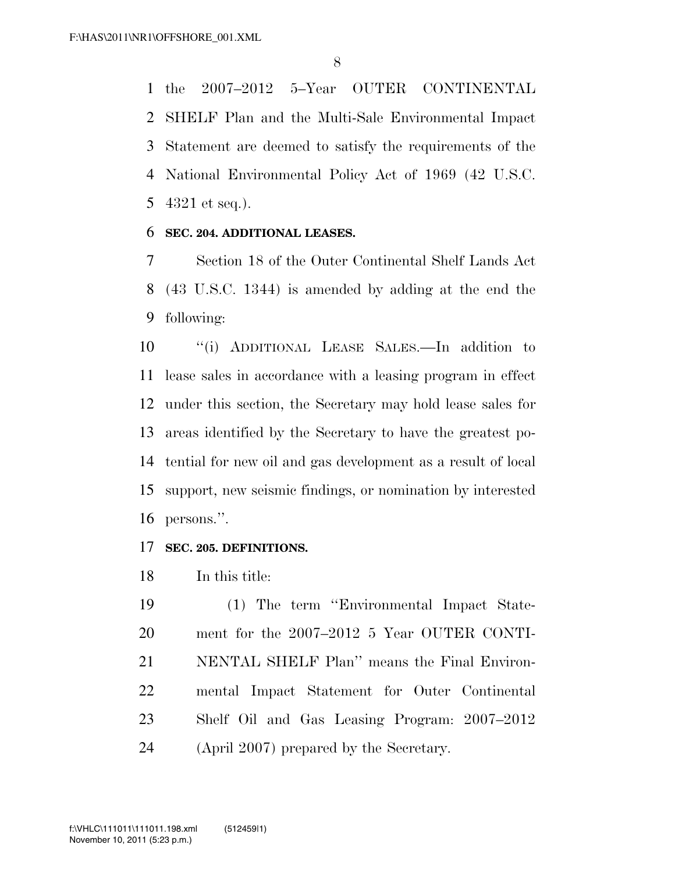the 2007–2012 5–Year OUTER CONTINENTAL SHELF Plan and the Multi-Sale Environmental Impact Statement are deemed to satisfy the requirements of the National Environmental Policy Act of 1969 (42 U.S.C. 4321 et seq.).

## **SEC. 204. ADDITIONAL LEASES.**

 Section 18 of the Outer Continental Shelf Lands Act (43 U.S.C. 1344) is amended by adding at the end the following:

 ''(i) ADDITIONAL LEASE SALES.—In addition to lease sales in accordance with a leasing program in effect under this section, the Secretary may hold lease sales for areas identified by the Secretary to have the greatest po- tential for new oil and gas development as a result of local support, new seismic findings, or nomination by interested persons.''.

# **SEC. 205. DEFINITIONS.**

In this title:

 (1) The term ''Environmental Impact State- ment for the 2007–2012 5 Year OUTER CONTI- NENTAL SHELF Plan'' means the Final Environ- mental Impact Statement for Outer Continental Shelf Oil and Gas Leasing Program: 2007–2012 (April 2007) prepared by the Secretary.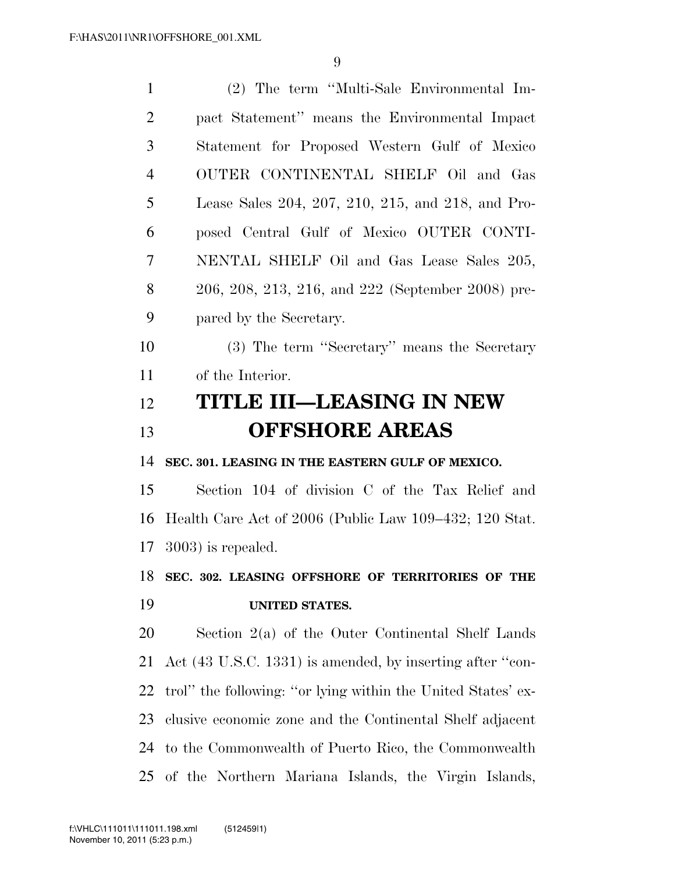| $\mathbf{1}$   | (2) The term "Multi-Sale Environmental Im-                   |
|----------------|--------------------------------------------------------------|
| $\overline{2}$ | pact Statement" means the Environmental Impact               |
| 3              | Statement for Proposed Western Gulf of Mexico                |
| $\overline{4}$ | OUTER CONTINENTAL SHELF Oil and Gas                          |
| 5              | Lease Sales 204, 207, 210, 215, and 218, and Pro-            |
| 6              | posed Central Gulf of Mexico OUTER CONTI-                    |
| 7              | NENTAL SHELF Oil and Gas Lease Sales 205,                    |
| 8              | 206, 208, 213, 216, and 222 (September 2008) pre-            |
| 9              | pared by the Secretary.                                      |
| 10             | (3) The term "Secretary" means the Secretary                 |
| 11             | of the Interior.                                             |
| 12             | TITLE III—LEASING IN NEW                                     |
| 13             | <b>OFFSHORE AREAS</b>                                        |
| 14             | SEC. 301. LEASING IN THE EASTERN GULF OF MEXICO.             |
| 15             | Section 104 of division C of the Tax Relief and              |
| 16             | Health Care Act of 2006 (Public Law 109–432; 120 Stat.       |
| 17             | $(3003)$ is repealed.                                        |
| 18             | SEC. 302. LEASING OFFSHORE OF TERRITORIES OF THE             |
| 19             | <b>UNITED STATES.</b>                                        |
| 20             | Section $2(a)$ of the Outer Continental Shelf Lands          |
| 21             | Act (43 U.S.C. 1331) is amended, by inserting after "con-    |
| 22             | trol" the following: "or lying within the United States' ex- |
| 23             | clusive economic zone and the Continental Shelf adjacent     |
|                |                                                              |
| 24             | to the Commonwealth of Puerto Rico, the Commonwealth         |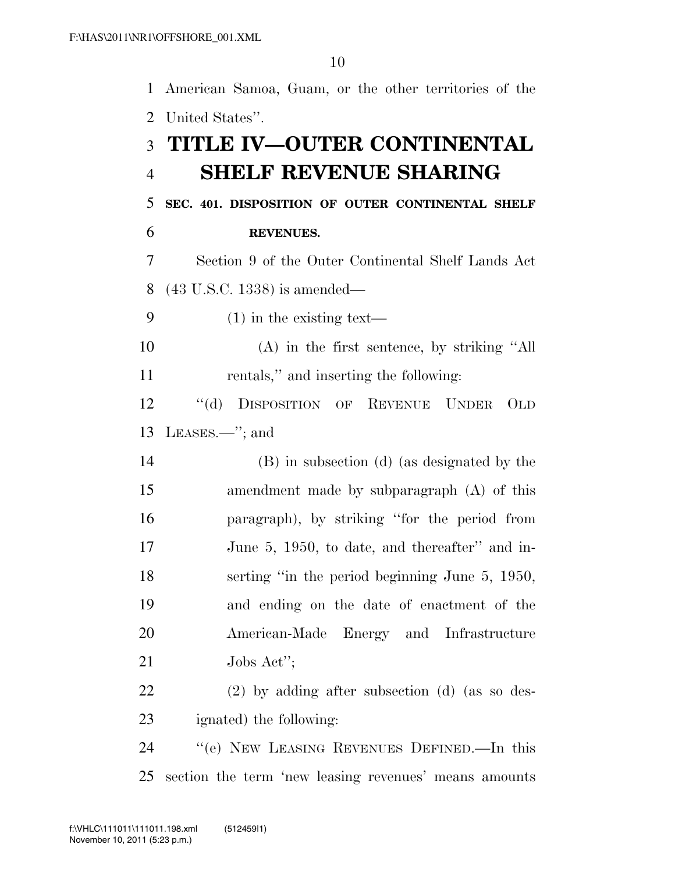American Samoa, Guam, or the other territories of the United States''. **TITLE IV—OUTER CONTINENTAL SHELF REVENUE SHARING SEC. 401. DISPOSITION OF OUTER CONTINENTAL SHELF REVENUES.**  Section 9 of the Outer Continental Shelf Lands Act (43 U.S.C. 1338) is amended— (1) in the existing text— (A) in the first sentence, by striking ''All rentals,'' and inserting the following: ''(d) DISPOSITION OF REVENUE UNDER OLD LEASES.—''; and (B) in subsection (d) (as designated by the amendment made by subparagraph (A) of this paragraph), by striking ''for the period from June 5, 1950, to date, and thereafter'' and in- serting ''in the period beginning June 5, 1950, and ending on the date of enactment of the American-Made Energy and Infrastructure Jobs Act''; (2) by adding after subsection (d) (as so des- ignated) the following: ''(e) NEW LEASING REVENUES DEFINED.—In this section the term 'new leasing revenues' means amounts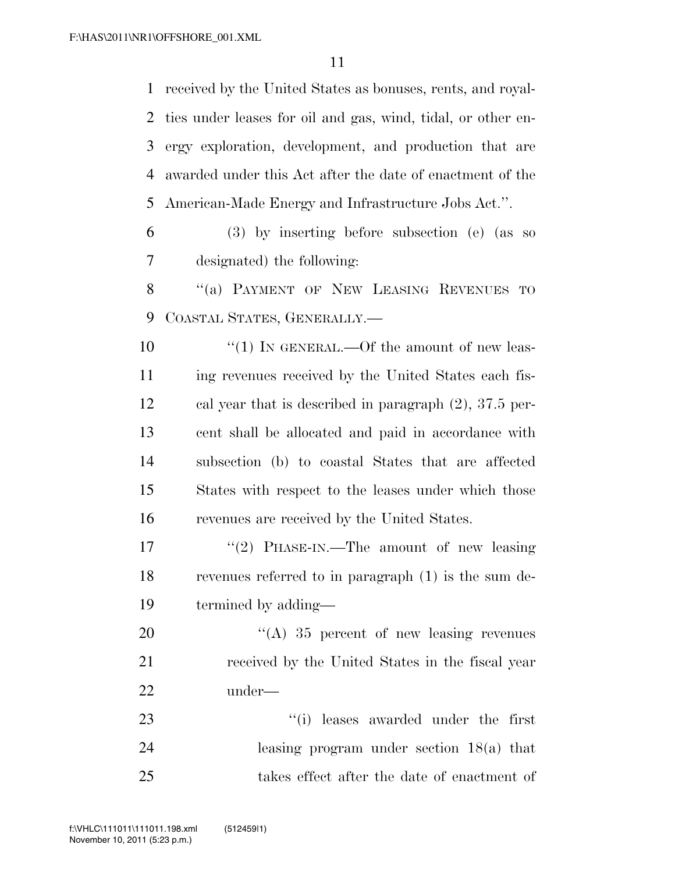received by the United States as bonuses, rents, and royal- ties under leases for oil and gas, wind, tidal, or other en- ergy exploration, development, and production that are awarded under this Act after the date of enactment of the American-Made Energy and Infrastructure Jobs Act.''.

 (3) by inserting before subsection (e) (as so designated) the following:

8 "(a) PAYMENT OF NEW LEASING REVENUES TO COASTAL STATES, GENERALLY.—

 $\frac{10}{10}$  IN GENERAL.—Of the amount of new leas- ing revenues received by the United States each fis- cal year that is described in paragraph (2), 37.5 per- cent shall be allocated and paid in accordance with subsection (b) to coastal States that are affected States with respect to the leases under which those revenues are received by the United States.

17 "'(2) PHASE-IN.—The amount of new leasing revenues referred to in paragraph (1) is the sum de-termined by adding—

20 "(A) 35 percent of new leasing revenues received by the United States in the fiscal year under—

23 ''(i) leases awarded under the first leasing program under section 18(a) that takes effect after the date of enactment of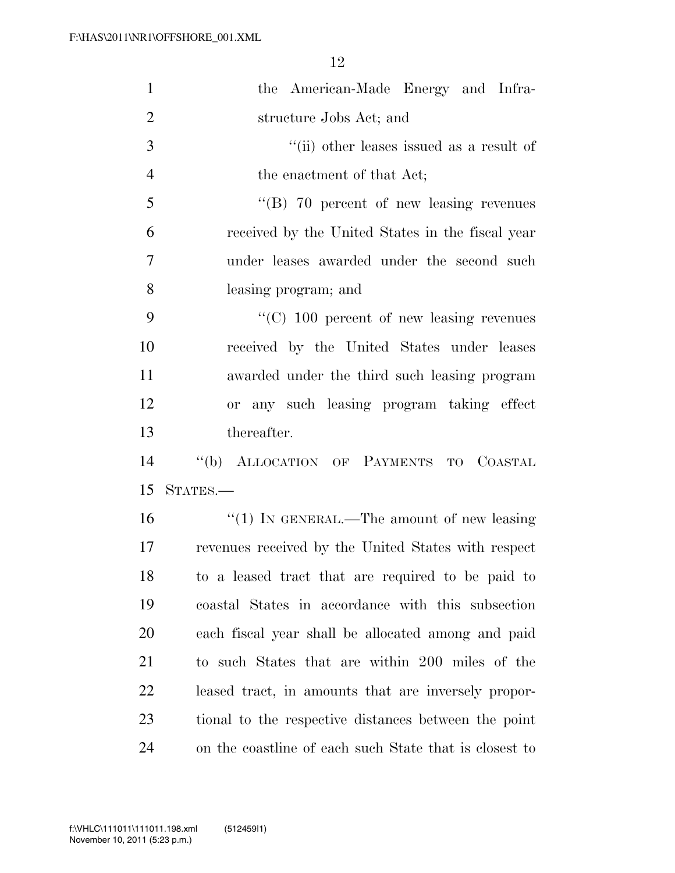| $\mathbf{1}$   | the American-Made Energy and Infra-                    |
|----------------|--------------------------------------------------------|
| $\overline{2}$ | structure Jobs Act; and                                |
| 3              | "(ii) other leases issued as a result of               |
| $\overline{4}$ | the enactment of that Act;                             |
| 5              | $\cdot$ (B) 70 percent of new leasing revenues         |
| 6              | received by the United States in the fiscal year       |
| $\overline{7}$ | under leases awarded under the second such             |
| 8              | leasing program; and                                   |
| 9              | $\cdot$ (C) 100 percent of new leasing revenues        |
| 10             | received by the United States under leases             |
| 11             | awarded under the third such leasing program           |
| 12             | or any such leasing program taking effect              |
| 13             | thereafter.                                            |
| 14             | "(b) ALLOCATION OF PAYMENTS TO COASTAL                 |
| 15             | STATES.-                                               |
| 16             | $"(1)$ IN GENERAL.—The amount of new leasing           |
| 17             | revenues received by the United States with respect    |
| 18             | to a leased tract that are required to be paid to      |
| 19             | coastal States in accordance with this subsection      |
| <b>20</b>      | each fiscal year shall be allocated among and paid     |
| 21             | to such States that are within 200 miles of the        |
| 22             | leased tract, in amounts that are inversely propor-    |
| 23             | tional to the respective distances between the point   |
| 24             | on the coastline of each such State that is closest to |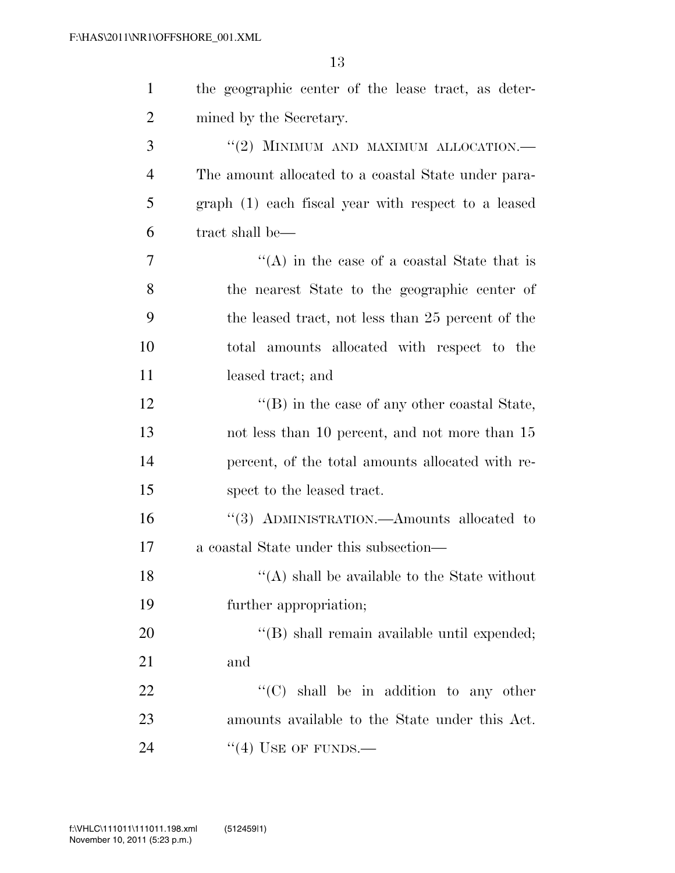| $\mathbf{1}$   | the geographic center of the lease tract, as deter-  |
|----------------|------------------------------------------------------|
| $\overline{2}$ | mined by the Secretary.                              |
| 3              | "(2) MINIMUM AND MAXIMUM ALLOCATION.-                |
| $\overline{4}$ | The amount allocated to a coastal State under para-  |
| 5              | graph (1) each fiscal year with respect to a leased  |
| 6              | tract shall be—                                      |
| 7              | "(A) in the case of a coastal State that is          |
| 8              | the nearest State to the geographic center of        |
| 9              | the leased tract, not less than 25 percent of the    |
| 10             | total amounts allocated with respect to the          |
| 11             | leased tract; and                                    |
| 12             | $\lq\lq$ (B) in the case of any other coastal State, |
| 13             | not less than 10 percent, and not more than 15       |
| 14             | percent, of the total amounts allocated with re-     |
| 15             | spect to the leased tract.                           |
| 16             | "(3) ADMINISTRATION.—Amounts allocated to            |
| 17             | a coastal State under this subsection—               |
| 18             | $\lq\lq$ (A) shall be available to the State without |
| 19             | further appropriation;                               |
| 20             | "(B) shall remain available until expended;          |
| 21             | and                                                  |
| 22             | "(C) shall be in addition to any other               |
| 23             | amounts available to the State under this Act.       |
| 24             | "(4) USE OF FUNDS.—                                  |